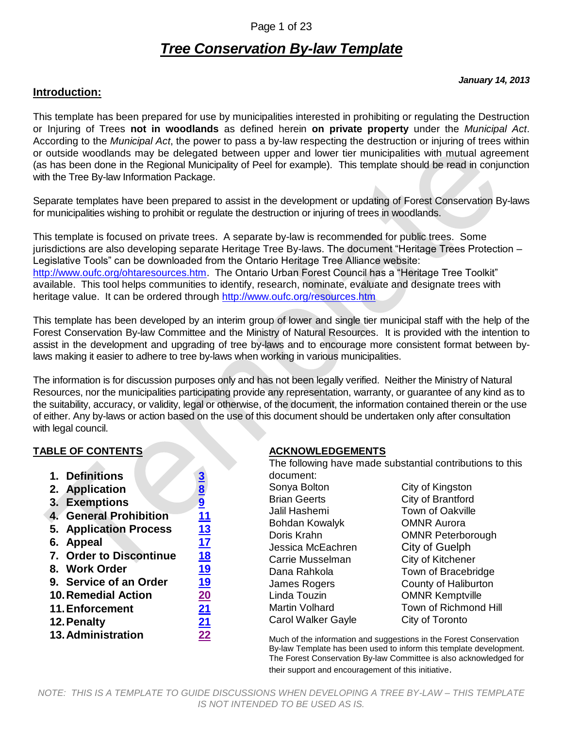### Page 1 of 23

# *Tree Conservation By-law Template*

#### *January 14, 2013*

#### **Introduction:**

This template has been prepared for use by municipalities interested in prohibiting or regulating the Destruction or Injuring of Trees **not in woodlands** as defined herein **on private property** under the *Municipal Act*. According to the *Municipal Act*, the power to pass a by-law respecting the destruction or injuring of trees within or outside woodlands may be delegated between upper and lower tier municipalities with mutual agreement (as has been done in the Regional Municipality of Peel for example). This template should be read in conjunction with the Tree By-law Information Package.

Separate templates have been prepared to assist in the development or updating of Forest Conservation By-laws for municipalities wishing to prohibit or regulate the destruction or injuring of trees in woodlands.

This template is focused on private trees. A separate by-law is recommended for public trees. Some jurisdictions are also developing separate Heritage Tree By-laws. The document "Heritage Trees Protection – Legislative Tools" can be downloaded from the Ontario Heritage Tree Alliance website: [http://www.oufc.org/ohtaresources.htm.](http://www.oufc.org/ohtaresources.htm) The Ontario Urban Forest Council has a "Heritage Tree Toolkit" available. This tool helps communities to identify, research, nominate, evaluate and designate trees with heritage value. It can be ordered through<http://www.oufc.org/resources.htm>

This template has been developed by an interim group of lower and single tier municipal staff with the help of the Forest Conservation By-law Committee and the Ministry of Natural Resources. It is provided with the intention to assist in the development and upgrading of tree by-laws and to encourage more consistent format between bylaws making it easier to adhere to tree by-laws when working in various municipalities.

The information is for discussion purposes only and has not been legally verified. Neither the Ministry of Natural Resources, nor the municipalities participating provide any representation, warranty, or guarantee of any kind as to the suitability, accuracy, or validity, legal or otherwise, of the document, the information contained therein or the use of either. Any by-laws or action based on the use of this document should be undertaken only after consultation with legal council.

#### **TABLE OF CONTENTS**

|                           | 1. Definitions                | <u>3</u>      |
|---------------------------|-------------------------------|---------------|
|                           | 2. Application                | $\frac{8}{9}$ |
|                           | 3. Exemptions                 |               |
|                           | <b>4. General Prohibition</b> | 11            |
|                           | <b>5. Application Process</b> | 13            |
|                           | 6. Appeal                     | 17            |
|                           | 7. Order to Discontinue       | <u>18</u>     |
|                           | 8. Work Order                 | 19            |
|                           | 9. Service of an Order        | 19            |
|                           | <b>10. Remedial Action</b>    | 20            |
|                           | 11. Enforcement               | 21            |
| <u>21</u><br>12. Penalty  |                               |               |
| <b>13. Administration</b> |                               |               |
|                           |                               |               |

### **ACKNOWLEDGEMENTS**

| The following have made substantial contributions to this |                          |  |
|-----------------------------------------------------------|--------------------------|--|
| document:                                                 |                          |  |
| Sonya Bolton                                              | City of Kingston         |  |
| <b>Brian Geerts</b>                                       | City of Brantford        |  |
| Jalil Hashemi                                             | <b>Town of Oakville</b>  |  |
| Bohdan Kowalyk                                            | <b>OMNR Aurora</b>       |  |
| Doris Krahn                                               | <b>OMNR Peterborough</b> |  |
| Jessica McEachren                                         | City of Guelph           |  |
| Carrie Musselman                                          | City of Kitchener        |  |
| Dana Rahkola                                              | Town of Bracebridge      |  |
| James Rogers                                              | County of Haliburton     |  |
| Linda Touzin                                              | <b>OMNR Kemptville</b>   |  |
| Martin Volhard                                            | Town of Richmond Hill    |  |
| Carol Walker Gayle                                        | City of Toronto          |  |
|                                                           |                          |  |

Much of the information and suggestions in the Forest Conservation By-law Template has been used to inform this template development. The Forest Conservation By-law Committee is also acknowledged for their support and encouragement of this initiative.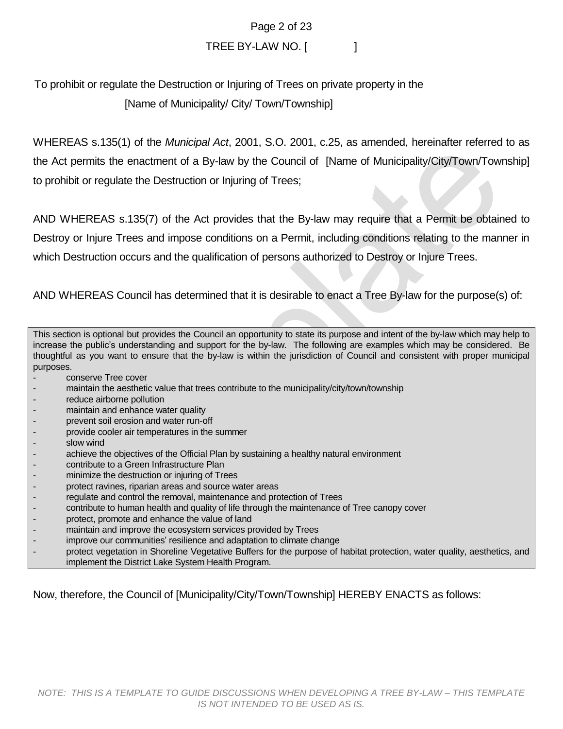Page 2 of 23

# TREE BY-LAW NO. [

To prohibit or regulate the Destruction or Injuring of Trees on private property in the [Name of Municipality/ City/ Town/Township]

WHEREAS s.135(1) of the *Municipal Act*, 2001, S.O. 2001, c.25, as amended, hereinafter referred to as the Act permits the enactment of a By-law by the Council of [Name of Municipality/City/Town/Township] to prohibit or regulate the Destruction or Injuring of Trees;

AND WHEREAS s.135(7) of the Act provides that the By-law may require that a Permit be obtained to Destroy or Injure Trees and impose conditions on a Permit, including conditions relating to the manner in which Destruction occurs and the qualification of persons authorized to Destroy or Injure Trees.

AND WHEREAS Council has determined that it is desirable to enact a Tree By-law for the purpose(s) of:

This section is optional but provides the Council an opportunity to state its purpose and intent of the by-law which may help to increase the public's understanding and support for the by-law. The following are examples which may be considered. Be thoughtful as you want to ensure that the by-law is within the jurisdiction of Council and consistent with proper municipal purposes.

- conserve Tree cover
- maintain the aesthetic value that trees contribute to the municipality/city/town/township
- reduce airborne pollution
- maintain and enhance water quality
- prevent soil erosion and water run-off
- provide cooler air temperatures in the summer
- slow wind
- achieve the objectives of the Official Plan by sustaining a healthy natural environment
- contribute to a Green Infrastructure Plan
- minimize the destruction or injuring of Trees
- protect ravines, riparian areas and source water areas
- regulate and control the removal, maintenance and protection of Trees
- contribute to human health and quality of life through the maintenance of Tree canopy cover
- protect, promote and enhance the value of land
- maintain and improve the ecosystem services provided by Trees
- improve our communities' resilience and adaptation to climate change
- protect vegetation in Shoreline Vegetative Buffers for the purpose of habitat protection, water quality, aesthetics, and implement the District Lake System Health Program.

Now, therefore, the Council of [Municipality/City/Town/Township] HEREBY ENACTS as follows: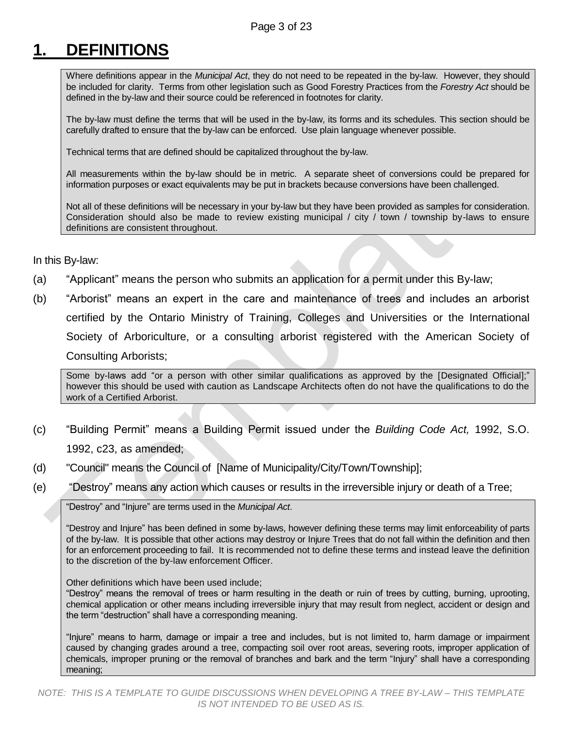# <span id="page-2-0"></span>**1. DEFINITIONS**

Where definitions appear in the *Municipal Act*, they do not need to be repeated in the by-law. However, they should be included for clarity. Terms from other legislation such as Good Forestry Practices from the *Forestry Act* should be defined in the by-law and their source could be referenced in footnotes for clarity.

The by-law must define the terms that will be used in the by-law, its forms and its schedules. This section should be carefully drafted to ensure that the by-law can be enforced. Use plain language whenever possible.

Technical terms that are defined should be capitalized throughout the by-law.

All measurements within the by-law should be in metric. A separate sheet of conversions could be prepared for information purposes or exact equivalents may be put in brackets because conversions have been challenged.

Not all of these definitions will be necessary in your by-law but they have been provided as samples for consideration. Consideration should also be made to review existing municipal / city / town / township by-laws to ensure definitions are consistent throughout.

#### In this By-law:

- (a) "Applicant" means the person who submits an application for a permit under this By-law;
- (b) "Arborist" means an expert in the care and maintenance of trees and includes an arborist certified by the Ontario Ministry of Training, Colleges and Universities or the International Society of Arboriculture, or a consulting arborist registered with the American Society of Consulting Arborists;

Some by-laws add "or a person with other similar qualifications as approved by the [Designated Official];" however this should be used with caution as Landscape Architects often do not have the qualifications to do the work of a Certified Arborist.

- (c) "Building Permit" means a Building Permit issued under the *Building Code Act,* 1992, S.O. 1992, c23, as amended;
- (d) "Council" means the Council of [Name of Municipality/City/Town/Township];
- (e) "Destroy" means any action which causes or results in the irreversible injury or death of a Tree;

"Destroy" and "Injure" are terms used in the *Municipal Act*.

"Destroy and Injure" has been defined in some by-laws, however defining these terms may limit enforceability of parts of the by-law. It is possible that other actions may destroy or Injure Trees that do not fall within the definition and then for an enforcement proceeding to fail. It is recommended not to define these terms and instead leave the definition to the discretion of the by-law enforcement Officer.

Other definitions which have been used include;

"Destroy" means the removal of trees or harm resulting in the death or ruin of trees by cutting, burning, uprooting, chemical application or other means including irreversible injury that may result from neglect, accident or design and the term "destruction" shall have a corresponding meaning.

"Injure" means to harm, damage or impair a tree and includes, but is not limited to, harm damage or impairment caused by changing grades around a tree, compacting soil over root areas, severing roots, improper application of chemicals, improper pruning or the removal of branches and bark and the term "Injury" shall have a corresponding meaning;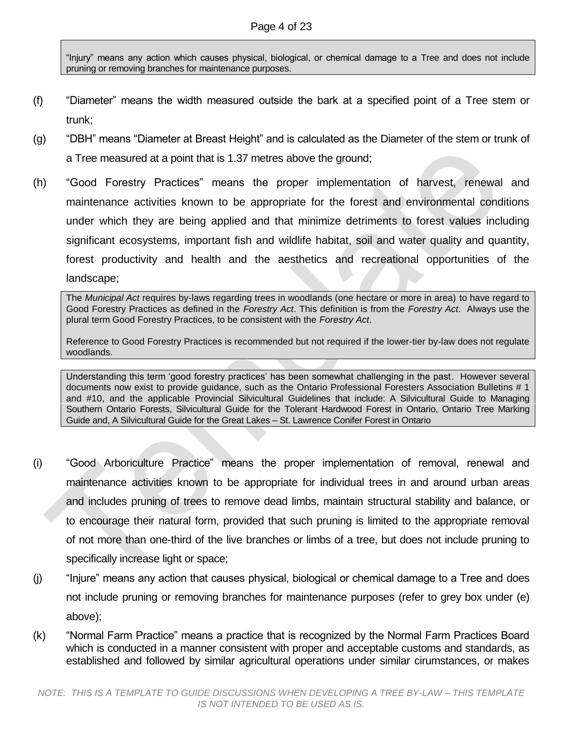"Injury" means any action which causes physical, biological, or chemical damage to a Tree and does not include pruning or removing branches for maintenance purposes.

- (f) "Diameter" means the width measured outside the bark at a specified point of a Tree stem or trunk;
- (g) "DBH" means "Diameter at Breast Height" and is calculated as the Diameter of the stem or trunk of a Tree measured at a point that is 1.37 metres above the ground;
- (h) "Good Forestry Practices" means the proper implementation of harvest, renewal and maintenance activities known to be appropriate for the forest and environmental conditions under which they are being applied and that minimize detriments to forest values including significant ecosystems, important fish and wildlife habitat, soil and water quality and quantity, forest productivity and health and the aesthetics and recreational opportunities of the landscape;

The *Municipal Act* requires by-laws regarding trees in woodlands (one hectare or more in area) to have regard to Good Forestry Practices as defined in the *Forestry Act*. This definition is from the *Forestry Act*. Always use the plural term Good Forestry Practices, to be consistent with the *Forestry Act*.

Reference to Good Forestry Practices is recommended but not required if the lower-tier by-law does not regulate woodlands.

Understanding this term 'good forestry practices' has been somewhat challenging in the past. However several documents now exist to provide guidance, such as the Ontario Professional Foresters Association Bulletins # 1 and #10, and the applicable Provincial Silvicultural Guidelines that include: A Silvicultural Guide to Managing Southern Ontario Forests, Silvicultural Guide for the Tolerant Hardwood Forest in Ontario, Ontario Tree Marking Guide and, A Silvicultural Guide for the Great Lakes – St. Lawrence Conifer Forest in Ontario

- (i) "Good Arboriculture Practice" means the proper implementation of removal, renewal and maintenance activities known to be appropriate for individual trees in and around urban areas and includes pruning of trees to remove dead limbs, maintain structural stability and balance, or to encourage their natural form, provided that such pruning is limited to the appropriate removal of not more than one-third of the live branches or limbs of a tree, but does not include pruning to specifically increase light or space;
- (j) "Injure" means any action that causes physical, biological or chemical damage to a Tree and does not include pruning or removing branches for maintenance purposes (refer to grey box under (e) above);
- (k) "Normal Farm Practice" means a practice that is recognized by the Normal Farm Practices Board which is conducted in a manner consistent with proper and acceptable customs and standards, as established and followed by similar agricultural operations under similar cirumstances, or makes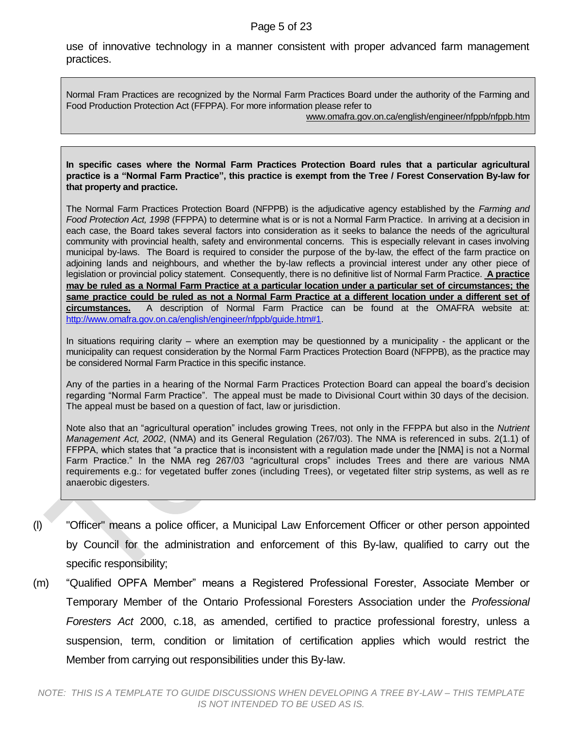#### Page 5 of 23

use of innovative technology in a manner consistent with proper advanced farm management practices.

Normal Fram Practices are recognized by the Normal Farm Practices Board under the authority of the Farming and Food Production Protection Act (FFPPA). For more information please refer to

[www.omafra.gov.on.ca/english/engineer/nfppb/nfppb.htm](http://www.omafra.gov.on.ca/english/engineer/nfppb/nfppb.htm)

**In specific cases where the Normal Farm Practices Protection Board rules that a particular agricultural practice is a "Normal Farm Practice", this practice is exempt from the Tree / Forest Conservation By-law for that property and practice.**

The Normal Farm Practices Protection Board (NFPPB) is the adjudicative agency established by the *Farming and Food Protection Act, 1998* (FFPPA) to determine what is or is not a Normal Farm Practice. In arriving at a decision in each case, the Board takes several factors into consideration as it seeks to balance the needs of the agricultural community with provincial health, safety and environmental concerns. This is especially relevant in cases involving municipal by-laws. The Board is required to consider the purpose of the by-law, the effect of the farm practice on adjoining lands and neighbours, and whether the by-law reflects a provincial interest under any other piece of legislation or provincial policy statement. Consequently, there is no definitive list of Normal Farm Practice. **A practice may be ruled as a Normal Farm Practice at a particular location under a particular set of circumstances; the same practice could be ruled as not a Normal Farm Practice at a different location under a different set of circumstances.** A description of Normal Farm Practice can be found at the OMAFRA website at: [http://www.omafra.gov.on.ca/english/engineer/nfppb/guide.htm#1.](http://www.omafra.gov.on.ca/english/engineer/nfppb/guide.htm#1)

In situations requiring clarity – where an exemption may be questionned by a municipality - the applicant or the municipality can request consideration by the Normal Farm Practices Protection Board (NFPPB), as the practice may be considered Normal Farm Practice in this specific instance.

Any of the parties in a hearing of the Normal Farm Practices Protection Board can appeal the board's decision regarding "Normal Farm Practice". The appeal must be made to Divisional Court within 30 days of the decision. The appeal must be based on a question of fact, law or jurisdiction.

Note also that an "agricultural operation" includes growing Trees, not only in the FFPPA but also in the *Nutrient Management Act, 2002*, (NMA) and its General Regulation (267/03). The NMA is referenced in subs. 2(1.1) of FFPPA, which states that "a practice that is inconsistent with a regulation made under the [NMA] is not a Normal Farm Practice." In the NMA reg 267/03 "agricultural crops" includes Trees and there are various NMA requirements e.g.: for vegetated buffer zones (including Trees), or vegetated filter strip systems, as well as re anaerobic digesters.

- (l) "Officer" means a police officer, a Municipal Law Enforcement Officer or other person appointed by Council for the administration and enforcement of this By-law, qualified to carry out the specific responsibility;
- (m) "Qualified OPFA Member" means a Registered Professional Forester, Associate Member or Temporary Member of the Ontario Professional Foresters Association under the *Professional Foresters Act* 2000, c.18, as amended, certified to practice professional forestry, unless a suspension, term, condition or limitation of certification applies which would restrict the Member from carrying out responsibilities under this By-law.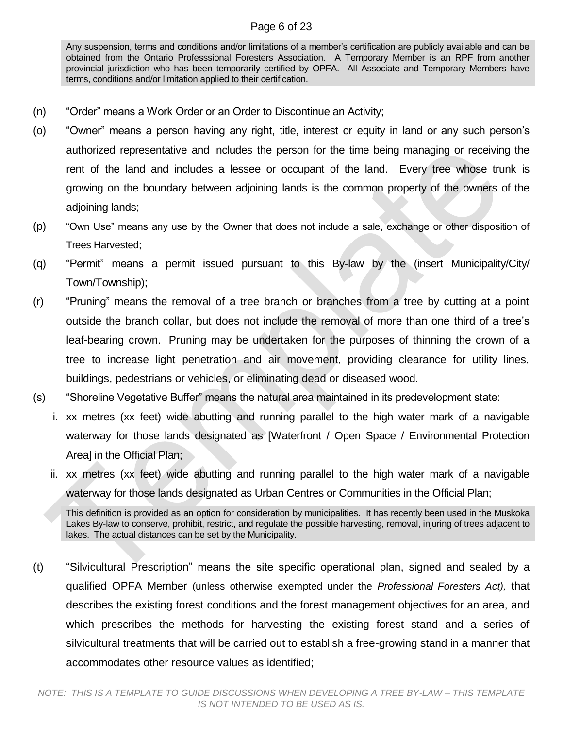### Page 6 of 23

Any suspension, terms and conditions and/or limitations of a member's certification are publicly available and can be obtained from the Ontario Professsional Foresters Association. A Temporary Member is an RPF from another provincial jurisdiction who has been temporarily certified by OPFA. All Associate and Temporary Members have terms, conditions and/or limitation applied to their certification.

- (n) "Order" means a Work Order or an Order to Discontinue an Activity;
- (o) "Owner" means a person having any right, title, interest or equity in land or any such person's authorized representative and includes the person for the time being managing or receiving the rent of the land and includes a lessee or occupant of the land. Every tree whose trunk is growing on the boundary between adjoining lands is the common property of the owners of the adjoining lands;
- (p) "Own Use" means any use by the Owner that does not include a sale, exchange or other disposition of Trees Harvested;
- (q) "Permit" means a permit issued pursuant to this By-law by the (insert Municipality/City/ Town/Township);
- (r) "Pruning" means the removal of a tree branch or branches from a tree by cutting at a point outside the branch collar, but does not include the removal of more than one third of a tree's leaf-bearing crown. Pruning may be undertaken for the purposes of thinning the crown of a tree to increase light penetration and air movement, providing clearance for utility lines, buildings, pedestrians or vehicles, or eliminating dead or diseased wood.
- (s) "Shoreline Vegetative Buffer" means the natural area maintained in its predevelopment state:
	- i. xx metres (xx feet) wide abutting and running parallel to the high water mark of a navigable waterway for those lands designated as [Waterfront / Open Space / Environmental Protection Area] in the Official Plan;
	- ii. xx metres (xx feet) wide abutting and running parallel to the high water mark of a navigable waterway for those lands designated as Urban Centres or Communities in the Official Plan;

This definition is provided as an option for consideration by municipalities. It has recently been used in the Muskoka Lakes By-law to conserve, prohibit, restrict, and regulate the possible harvesting, removal, injuring of trees adjacent to lakes. The actual distances can be set by the Municipality.

(t) "Silvicultural Prescription" means the site specific operational plan, signed and sealed by a qualified OPFA Member (unless otherwise exempted under the *Professional Foresters Act),* that describes the existing forest conditions and the forest management objectives for an area, and which prescribes the methods for harvesting the existing forest stand and a series of silvicultural treatments that will be carried out to establish a free-growing stand in a manner that accommodates other resource values as identified;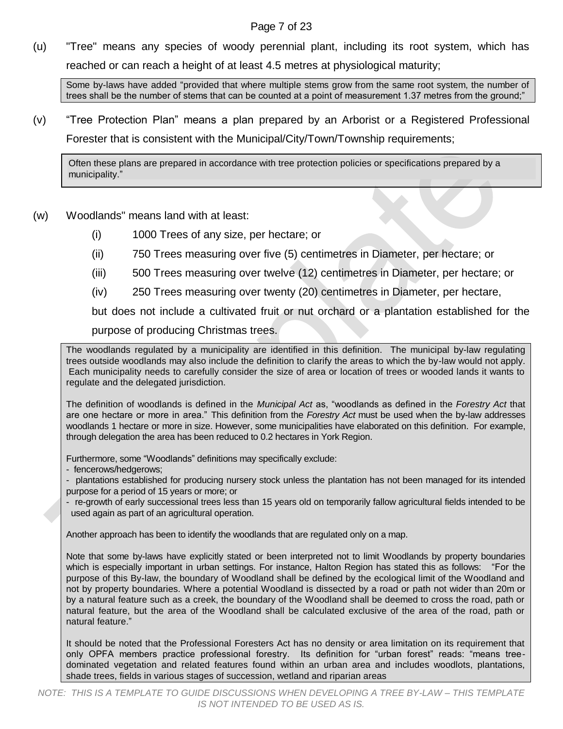# Page 7 of 23

(u) "Tree" means any species of woody perennial plant, including its root system, which has reached or can reach a height of at least 4.5 metres at physiological maturity;

Some by-laws have added "provided that where multiple stems grow from the same root system, the number of trees shall be the number of stems that can be counted at a point of measurement 1.37 metres from the ground;"

(v) "Tree Protection Plan" means a plan prepared by an Arborist or a Registered Professional

Forester that is consistent with the Municipal/City/Town/Township requirements;

Often these plans are prepared in accordance with tree protection policies or specifications prepared by a municipality."

- (w) Woodlands" means land with at least:
	- (i) 1000 Trees of any size, per hectare; or
	- (ii) 750 Trees measuring over five (5) centimetres in Diameter, per hectare; or
	- (iii) 500 Trees measuring over twelve (12) centimetres in Diameter, per hectare; or
	- (iv) 250 Trees measuring over twenty (20) centimetres in Diameter, per hectare,

but does not include a cultivated fruit or nut orchard or a plantation established for the

purpose of producing Christmas trees.

The woodlands regulated by a municipality are identified in this definition. The municipal by-law regulating trees outside woodlands may also include the definition to clarify the areas to which the by-law would not apply. Each municipality needs to carefully consider the size of area or location of trees or wooded lands it wants to regulate and the delegated jurisdiction.

The definition of woodlands is defined in the *Municipal Act* as, "woodlands as defined in the *Forestry Act* that are one hectare or more in area." This definition from the *Forestry Act* must be used when the by-law addresses woodlands 1 hectare or more in size. However, some municipalities have elaborated on this definition. For example, through delegation the area has been reduced to 0.2 hectares in York Region.

Furthermore, some "Woodlands" definitions may specifically exclude:

- fencerows/hedgerows;

- plantations established for producing nursery stock unless the plantation has not been managed for its intended purpose for a period of 15 years or more; or

- re-growth of early successional trees less than 15 years old on temporarily fallow agricultural fields intended to be used again as part of an agricultural operation.

Another approach has been to identify the woodlands that are regulated only on a map.

Note that some by-laws have explicitly stated or been interpreted not to limit Woodlands by property boundaries which is especially important in urban settings. For instance, Halton Region has stated this as follows: "For the purpose of this By-law, the boundary of Woodland shall be defined by the ecological limit of the Woodland and not by property boundaries. Where a potential Woodland is dissected by a road or path not wider than 20m or by a natural feature such as a creek, the boundary of the Woodland shall be deemed to cross the road, path or natural feature, but the area of the Woodland shall be calculated exclusive of the area of the road, path or natural feature."

It should be noted that the Professional Foresters Act has no density or area limitation on its requirement that only OPFA members practice professional forestry. Its definition for "urban forest" reads: "means treedominated vegetation and related features found within an urban area and includes woodlots, plantations, shade trees, fields in various stages of succession, wetland and riparian areas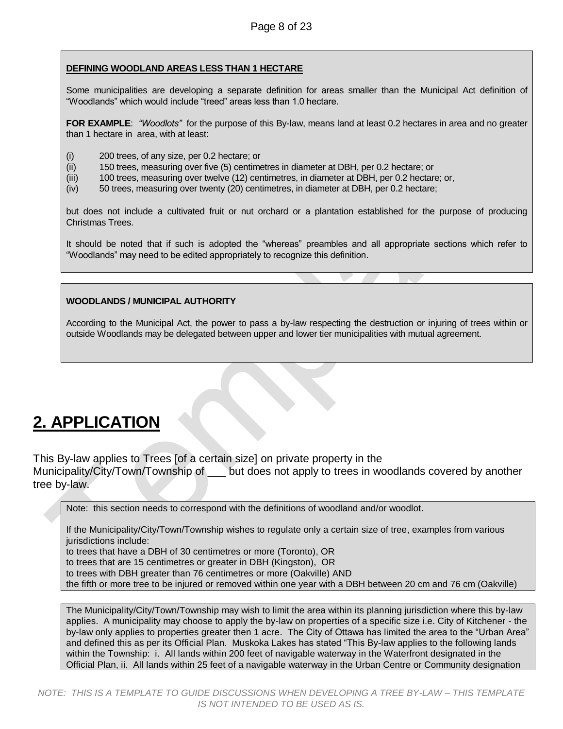#### **DEFINING WOODLAND AREAS LESS THAN 1 HECTARE**

Some municipalities are developing a separate definition for areas smaller than the Municipal Act definition of "Woodlands" which would include "treed" areas less than 1.0 hectare.

**FOR EXAMPLE**: *"Woodlots"* for the purpose of this By-law, means land at least 0.2 hectares in area and no greater than 1 hectare in area, with at least:

- (i) 200 trees, of any size, per 0.2 hectare; or
- (ii) 150 trees, measuring over five (5) centimetres in diameter at DBH, per 0.2 hectare; or
- (iii) 100 trees, measuring over twelve (12) centimetres, in diameter at DBH, per 0.2 hectare; or,
- (iv) 50 trees, measuring over twenty (20) centimetres, in diameter at DBH, per 0.2 hectare;

but does not include a cultivated fruit or nut orchard or a plantation established for the purpose of producing Christmas Trees.

It should be noted that if such is adopted the "whereas" preambles and all appropriate sections which refer to "Woodlands" may need to be edited appropriately to recognize this definition.

#### **WOODLANDS / MUNICIPAL AUTHORITY**

According to the Municipal Act, the power to pass a by-law respecting the destruction or injuring of trees within or outside Woodlands may be delegated between upper and lower tier municipalities with mutual agreement.

# <span id="page-7-0"></span>**2. APPLICATION**

This By-law applies to Trees [of a certain size] on private property in the Municipality/City/Town/Township of but does not apply to trees in woodlands covered by another tree by-law.

Note: this section needs to correspond with the definitions of woodland and/or woodlot.

If the Municipality/City/Town/Township wishes to regulate only a certain size of tree, examples from various jurisdictions include:

to trees that have a DBH of 30 centimetres or more (Toronto), OR

to trees that are 15 centimetres or greater in DBH (Kingston), OR

to trees with DBH greater than 76 centimetres or more (Oakville) AND

the fifth or more tree to be injured or removed within one year with a DBH between 20 cm and 76 cm (Oakville)

The Municipality/City/Town/Township may wish to limit the area within its planning jurisdiction where this by-law applies. A municipality may choose to apply the by-law on properties of a specific size i.e. City of Kitchener - the by-law only applies to properties greater then 1 acre. The City of Ottawa has limited the area to the "Urban Area" and defined this as per its Official Plan. Muskoka Lakes has stated "This By-law applies to the following lands within the Township: i. All lands within 200 feet of navigable waterway in the Waterfront designated in the Official Plan, ii. All lands within 25 feet of a navigable waterway in the Urban Centre or Community designation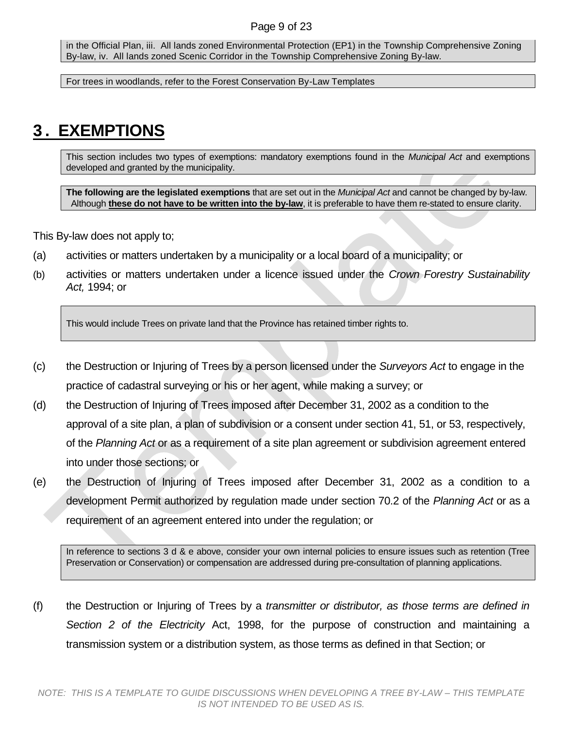### Page 9 of 23

in the Official Plan, iii. All lands zoned Environmental Protection (EP1) in the Township Comprehensive Zoning By-law, iv. All lands zoned Scenic Corridor in the Township Comprehensive Zoning By-law.

For trees in woodlands, refer to the Forest Conservation By-Law Templates

# <span id="page-8-0"></span>**3 . EXEMPTIONS**

This section includes two types of exemptions: mandatory exemptions found in the *Municipal Act* and exemptions developed and granted by the municipality.

**The following are the legislated exemptions** that are set out in the *Municipal Act* and cannot be changed by by-law. Although **these do not have to be written into the by-law**, it is preferable to have them re-stated to ensure clarity.

This By-law does not apply to;

- (a) activities or matters undertaken by a municipality or a local board of a municipality; or
- (b) activities or matters undertaken under a licence issued under the *Crown Forestry Sustainability Act,* 1994; or

This would include Trees on private land that the Province has retained timber rights to.

- (c) the Destruction or Injuring of Trees by a person licensed under the *Surveyors Act* to engage in the practice of cadastral surveying or his or her agent, while making a survey; or
- (d) the Destruction of Injuring of Trees imposed after December 31, 2002 as a condition to the approval of a site plan, a plan of subdivision or a consent under section 41, 51, or 53, respectively, of the *Planning Act* or as a requirement of a site plan agreement or subdivision agreement entered into under those sections; or
- (e) the Destruction of Injuring of Trees imposed after December 31, 2002 as a condition to a development Permit authorized by regulation made under section 70.2 of the *Planning Act* or as a requirement of an agreement entered into under the regulation; or

In reference to sections 3 d & e above, consider your own internal policies to ensure issues such as retention (Tree Preservation or Conservation) or compensation are addressed during pre-consultation of planning applications.

(f) the Destruction or Injuring of Trees by a *transmitter or distributor, as those terms are defined in Section 2 of the Electricity* Act, 1998, for the purpose of construction and maintaining a transmission system or a distribution system, as those terms as defined in that Section; or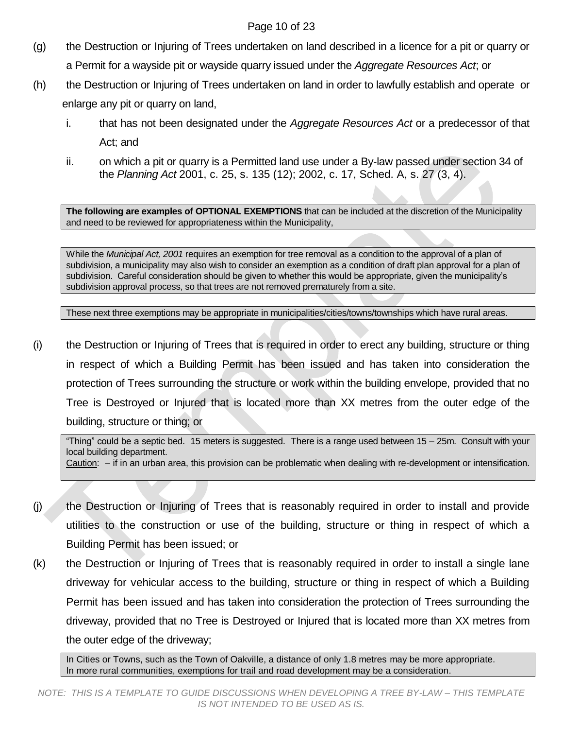# Page 10 of 23

- (g) the Destruction or Injuring of Trees undertaken on land described in a licence for a pit or quarry or a Permit for a wayside pit or wayside quarry issued under the *Aggregate Resources Act*; or
- (h) the Destruction or Injuring of Trees undertaken on land in order to lawfully establish and operate or enlarge any pit or quarry on land,
	- i. that has not been designated under the *Aggregate Resources Act* or a predecessor of that Act; and
	- ii. on which a pit or quarry is a Permitted land use under a By-law passed under section 34 of the *Planning Act* 2001, c. 25, s. 135 (12); 2002, c. 17, Sched. A, s. 27 (3, 4).

**The following are examples of OPTIONAL EXEMPTIONS** that can be included at the discretion of the Municipality and need to be reviewed for appropriateness within the Municipality,

While the *Municipal Act, 2001* requires an exemption for tree removal as a condition to the approval of a plan of subdivision, a municipality may also wish to consider an exemption as a condition of draft plan approval for a plan of subdivision. Careful consideration should be given to whether this would be appropriate, given the municipality's subdivision approval process, so that trees are not removed prematurely from a site.

These next three exemptions may be appropriate in municipalities/cities/towns/townships which have rural areas.

(i) the Destruction or Injuring of Trees that is required in order to erect any building, structure or thing in respect of which a Building Permit has been issued and has taken into consideration the protection of Trees surrounding the structure or work within the building envelope, provided that no Tree is Destroyed or Injured that is located more than XX metres from the outer edge of the building, structure or thing; or

"Thing" could be a septic bed. 15 meters is suggested. There is a range used between 15 – 25m. Consult with your local building department. Caution: – if in an urban area, this provision can be problematic when dealing with re-development or intensification.

- (j) the Destruction or Injuring of Trees that is reasonably required in order to install and provide utilities to the construction or use of the building, structure or thing in respect of which a Building Permit has been issued; or
- (k) the Destruction or Injuring of Trees that is reasonably required in order to install a single lane driveway for vehicular access to the building, structure or thing in respect of which a Building Permit has been issued and has taken into consideration the protection of Trees surrounding the driveway, provided that no Tree is Destroyed or Injured that is located more than XX metres from the outer edge of the driveway;

In Cities or Towns, such as the Town of Oakville, a distance of only 1.8 metres may be more appropriate. In more rural communities, exemptions for trail and road development may be a consideration.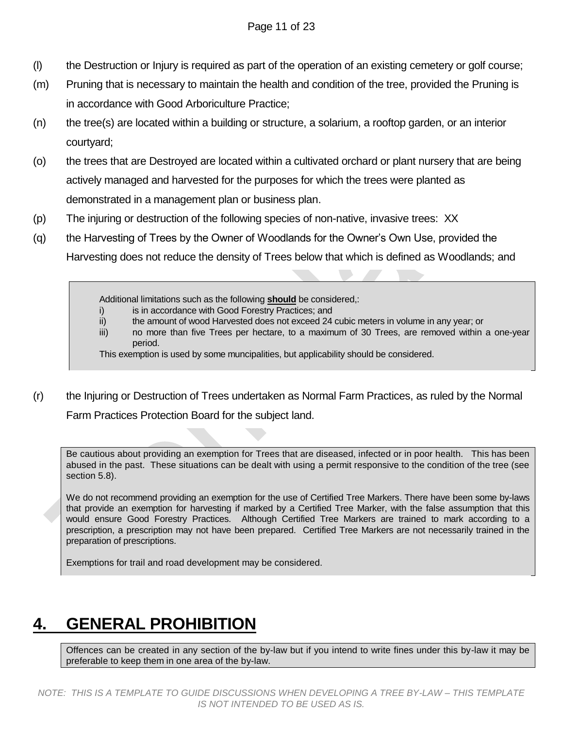- (l) the Destruction or Injury is required as part of the operation of an existing cemetery or golf course;
- (m) Pruning that is necessary to maintain the health and condition of the tree, provided the Pruning is in accordance with Good Arboriculture Practice;
- (n) the tree(s) are located within a building or structure, a solarium, a rooftop garden, or an interior courtyard;
- (o) the trees that are Destroyed are located within a cultivated orchard or plant nursery that are being actively managed and harvested for the purposes for which the trees were planted as demonstrated in a management plan or business plan.
- (p) The injuring or destruction of the following species of non-native, invasive trees: XX
- (q) the Harvesting of Trees by the Owner of Woodlands for the Owner's Own Use, provided the

Harvesting does not reduce the density of Trees below that which is defined as Woodlands; and

Additional limitations such as the following **should** be considered,:

- i) is in accordance with Good Forestry Practices; and
- ii) the amount of wood Harvested does not exceed 24 cubic meters in volume in any year; or
- iii) no more than five Trees per hectare, to a maximum of 30 Trees, are removed within a one-year period.

This exemption is used by some muncipalities, but applicability should be considered.

(r) the Injuring or Destruction of Trees undertaken as Normal Farm Practices, as ruled by the Normal Farm Practices Protection Board for the subject land.

Be cautious about providing an exemption for Trees that are diseased, infected or in poor health. This has been abused in the past. These situations can be dealt with using a permit responsive to the condition of the tree (see section 5.8).

We do not recommend providing an exemption for the use of Certified Tree Markers. There have been some by-laws that provide an exemption for harvesting if marked by a Certified Tree Marker, with the false assumption that this would ensure Good Forestry Practices. Although Certified Tree Markers are trained to mark according to a prescription, a prescription may not have been prepared. Certified Tree Markers are not necessarily trained in the preparation of prescriptions.

Exemptions for trail and road development may be considered.

# <span id="page-10-0"></span>**4. GENERAL PROHIBITION**

Offences can be created in any section of the by-law but if you intend to write fines under this by-law it may be preferable to keep them in one area of the by-law.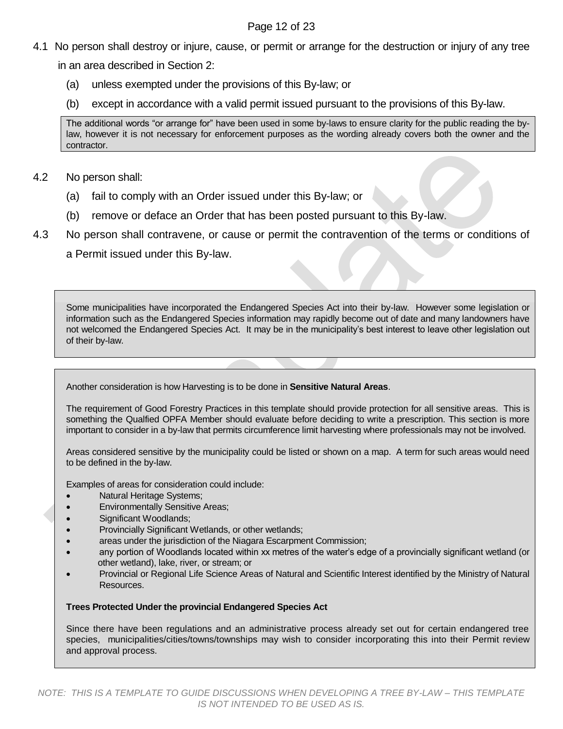### Page 12 of 23

4.1 No person shall destroy or injure, cause, or permit or arrange for the destruction or injury of any tree

in an area described in Section 2:

- (a) unless exempted under the provisions of this By-law; or
- (b) except in accordance with a valid permit issued pursuant to the provisions of this By-law.

The additional words "or arrange for" have been used in some by-laws to ensure clarity for the public reading the bylaw, however it is not necessary for enforcement purposes as the wording already covers both the owner and the contractor.

# 4.2 No person shall:

- (a) fail to comply with an Order issued under this By-law; or
- (b) remove or deface an Order that has been posted pursuant to this By-law.
- 4.3 No person shall contravene, or cause or permit the contravention of the terms or conditions of

a Permit issued under this By-law.

Some municipalities have incorporated the Endangered Species Act into their by-law. However some legislation or information such as the Endangered Species information may rapidly become out of date and many landowners have not welcomed the Endangered Species Act. It may be in the municipality's best interest to leave other legislation out of their by-law.

Another consideration is how Harvesting is to be done in **Sensitive Natural Areas**.

The requirement of Good Forestry Practices in this template should provide protection for all sensitive areas. This is something the Qualfied OPFA Member should evaluate before deciding to write a prescription. This section is more important to consider in a by-law that permits circumference limit harvesting where professionals may not be involved.

Areas considered sensitive by the municipality could be listed or shown on a map. A term for such areas would need to be defined in the by-law.

Examples of areas for consideration could include:

- Natural Heritage Systems;
- Environmentally Sensitive Areas;
- Significant Woodlands;
- Provincially Significant Wetlands, or other wetlands;
- areas under the jurisdiction of the Niagara Escarpment Commission;
- any portion of Woodlands located within xx metres of the water's edge of a provincially significant wetland (or other wetland), lake, river, or stream; or
- Provincial or Regional Life Science Areas of Natural and Scientific Interest identified by the Ministry of Natural Resources.

### **Trees Protected Under the provincial Endangered Species Act**

Since there have been regulations and an administrative process already set out for certain endangered tree species, municipalities/cities/towns/townships may wish to consider incorporating this into their Permit review and approval process.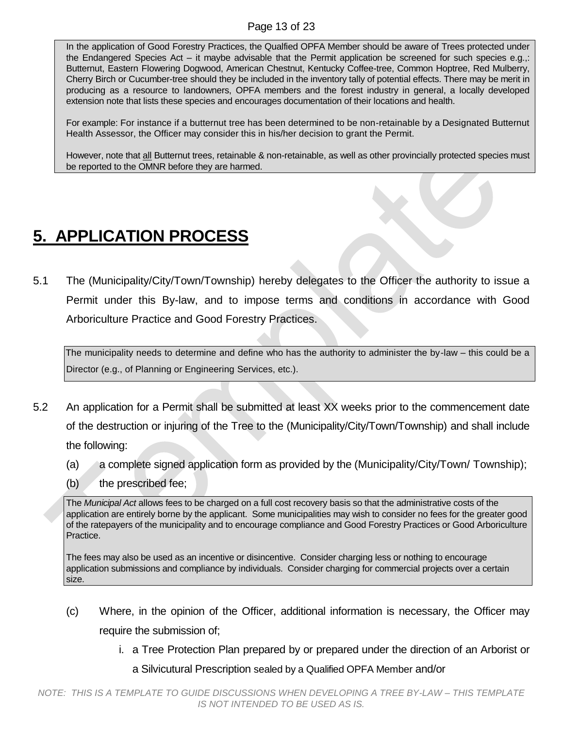In the application of Good Forestry Practices, the Qualfied OPFA Member should be aware of Trees protected under the Endangered Species Act – it maybe advisable that the Permit application be screened for such species e.g.,: Butternut, Eastern Flowering Dogwood, American Chestnut, Kentucky Coffee-tree, Common Hoptree, Red Mulberry, Cherry Birch or Cucumber-tree should they be included in the inventory tally of potential effects. There may be merit in producing as a resource to landowners, OPFA members and the forest industry in general, a locally developed extension note that lists these species and encourages documentation of their locations and health.

For example: For instance if a butternut tree has been determined to be non-retainable by a Designated Butternut Health Assessor, the Officer may consider this in his/her decision to grant the Permit.

However, note that all Butternut trees, retainable & non-retainable, as well as other provincially protected species must be reported to the OMNR before they are harmed.

# <span id="page-12-0"></span>**5. APPLICATION PROCESS**

5.1 The (Municipality/City/Town/Township) hereby delegates to the Officer the authority to issue a Permit under this By-law, and to impose terms and conditions in accordance with Good Arboriculture Practice and Good Forestry Practices.

The municipality needs to determine and define who has the authority to administer the by-law – this could be a Director (e.g., of Planning or Engineering Services, etc.).

- 5.2 An application for a Permit shall be submitted at least XX weeks prior to the commencement date of the destruction or injuring of the Tree to the (Municipality/City/Town/Township) and shall include the following:
	- (a) a complete signed application form as provided by the (Municipality/City/Town/ Township);
	- (b) the prescribed fee;

The *Municipal Act* allows fees to be charged on a full cost recovery basis so that the administrative costs of the application are entirely borne by the applicant. Some municipalities may wish to consider no fees for the greater good of the ratepayers of the municipality and to encourage compliance and Good Forestry Practices or Good Arboriculture Practice.

The fees may also be used as an incentive or disincentive. Consider charging less or nothing to encourage application submissions and compliance by individuals. Consider charging for commercial projects over a certain size.

- (c) Where, in the opinion of the Officer, additional information is necessary, the Officer may require the submission of;
	- i. a Tree Protection Plan prepared by or prepared under the direction of an Arborist or a Silvicutural Prescription sealed by a Qualified OPFA Member and/or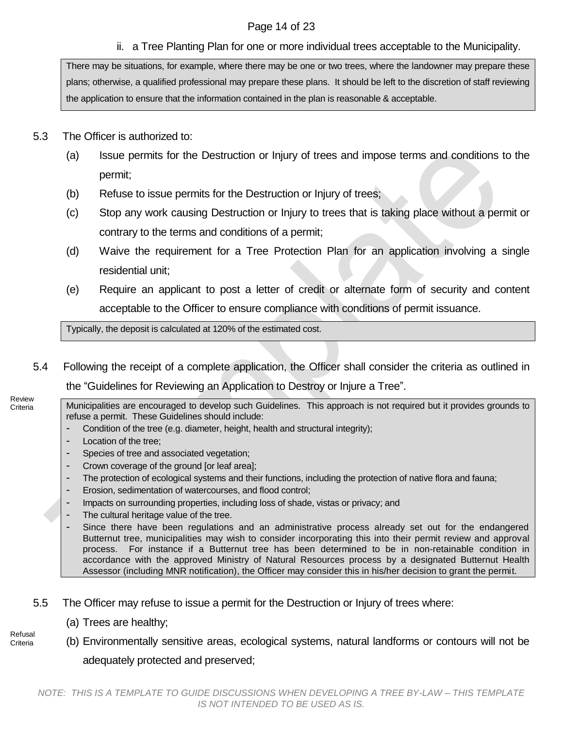# Page 14 of 23

ii. a Tree Planting Plan for one or more individual trees acceptable to the Municipality.

There may be situations, for example, where there may be one or two trees, where the landowner may prepare these plans; otherwise, a qualified professional may prepare these plans. It should be left to the discretion of staff reviewing the application to ensure that the information contained in the plan is reasonable & acceptable.

- 5.3 The Officer is authorized to:
	- (a) Issue permits for the Destruction or Injury of trees and impose terms and conditions to the permit;
	- (b) Refuse to issue permits for the Destruction or Injury of trees;
	- (c) Stop any work causing Destruction or Injury to trees that is taking place without a permit or contrary to the terms and conditions of a permit;
	- (d) Waive the requirement for a Tree Protection Plan for an application involving a single residential unit;
	- (e) Require an applicant to post a letter of credit or alternate form of security and content acceptable to the Officer to ensure compliance with conditions of permit issuance.

Typically, the deposit is calculated at 120% of the estimated cost.

5.4 Following the receipt of a complete application, the Officer shall consider the criteria as outlined in the "Guidelines for Reviewing an Application to Destroy or Injure a Tree".

Review **Criteria** 

Municipalities are encouraged to develop such Guidelines. This approach is not required but it provides grounds to refuse a permit. These Guidelines should include:

- Condition of the tree (e.g. diameter, height, health and structural integrity);
- Location of the tree;
- Species of tree and associated vegetation;
- Crown coverage of the ground [or leaf area];
- The protection of ecological systems and their functions, including the protection of native flora and fauna;
- Erosion, sedimentation of watercourses, and flood control;
- Impacts on surrounding properties, including loss of shade, vistas or privacy; and
- The cultural heritage value of the tree.
- Since there have been regulations and an administrative process already set out for the endangered Butternut tree, municipalities may wish to consider incorporating this into their permit review and approval process. For instance if a Butternut tree has been determined to be in non-retainable condition in accordance with the approved Ministry of Natural Resources process by a designated Butternut Health Assessor (including MNR notification), the Officer may consider this in his/her decision to grant the permit.
- 5.5 The Officer may refuse to issue a permit for the Destruction or Injury of trees where:
	- (a) Trees are healthy;
- (b) Environmentally sensitive areas, ecological systems, natural landforms or contours will not be adequately protected and preserved; Refusal **Criteria**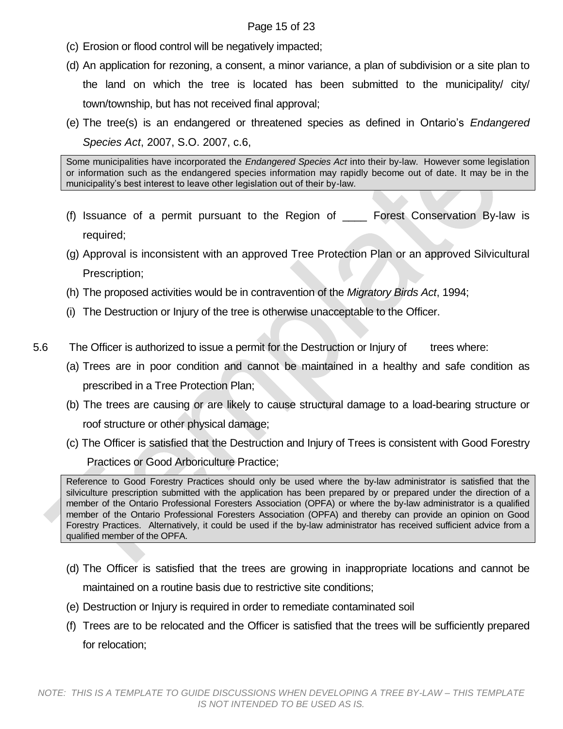### Page 15 of 23

- (c) Erosion or flood control will be negatively impacted;
- (d) An application for rezoning, a consent, a minor variance, a plan of subdivision or a site plan to the land on which the tree is located has been submitted to the municipality/ city/ town/township, but has not received final approval;
- (e) The tree(s) is an endangered or threatened species as defined in Ontario's *Endangered Species Act*, 2007, S.O. 2007, c.6,

Some municipalities have incorporated the *Endangered Species Act* into their by-law. However some legislation or information such as the endangered species information may rapidly become out of date. It may be in the municipality's best interest to leave other legislation out of their by-law.

- (f) Issuance of a permit pursuant to the Region of \_\_\_\_ Forest Conservation By-law is required;
- (g) Approval is inconsistent with an approved Tree Protection Plan or an approved Silvicultural Prescription;
- (h) The proposed activities would be in contravention of the *Migratory Birds Act*, 1994;
- (i) The Destruction or Injury of the tree is otherwise unacceptable to the Officer.
- 5.6 The Officer is authorized to issue a permit for the Destruction or Injury of trees where:
	- (a) Trees are in poor condition and cannot be maintained in a healthy and safe condition as prescribed in a Tree Protection Plan;
	- (b) The trees are causing or are likely to cause structural damage to a load-bearing structure or roof structure or other physical damage;
	- (c) The Officer is satisfied that the Destruction and Injury of Trees is consistent with Good Forestry Practices or Good Arboriculture Practice;

Reference to Good Forestry Practices should only be used where the by-law administrator is satisfied that the silviculture prescription submitted with the application has been prepared by or prepared under the direction of a member of the Ontario Professional Foresters Association (OPFA) or where the by-law administrator is a qualified member of the Ontario Professional Foresters Association (OPFA) and thereby can provide an opinion on Good Forestry Practices. Alternatively, it could be used if the by-law administrator has received sufficient advice from a qualified member of the OPFA.

- (d) The Officer is satisfied that the trees are growing in inappropriate locations and cannot be maintained on a routine basis due to restrictive site conditions;
- (e) Destruction or Injury is required in order to remediate contaminated soil
- (f) Trees are to be relocated and the Officer is satisfied that the trees will be sufficiently prepared for relocation;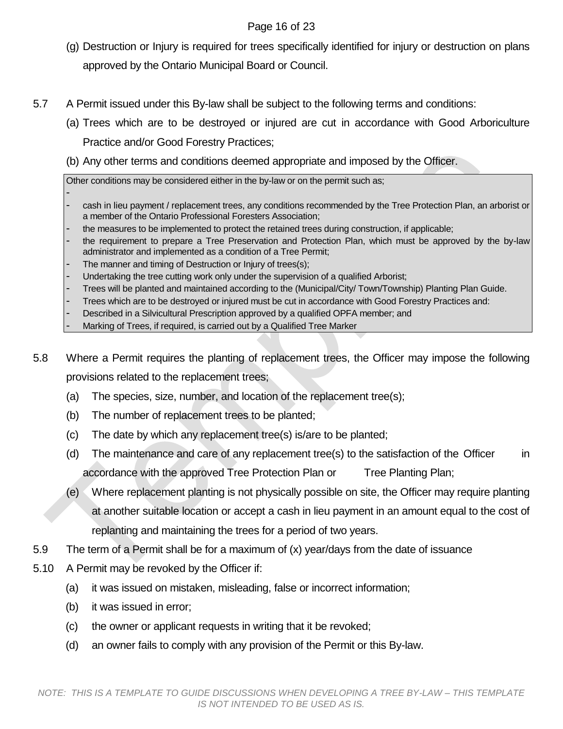# Page 16 of 23

- (g) Destruction or Injury is required for trees specifically identified for injury or destruction on plans approved by the Ontario Municipal Board or Council.
- 5.7 A Permit issued under this By-law shall be subject to the following terms and conditions:
	- (a) Trees which are to be destroyed or injured are cut in accordance with Good Arboriculture Practice and/or Good Forestry Practices;
	- (b) Any other terms and conditions deemed appropriate and imposed by the Officer.

Other conditions may be considered either in the by-law or on the permit such as;

- cash in lieu payment / replacement trees, any conditions recommended by the Tree Protection Plan, an arborist or a member of the Ontario Professional Foresters Association;
- the measures to be implemented to protect the retained trees during construction, if applicable;
- the requirement to prepare a Tree Preservation and Protection Plan, which must be approved by the by-law administrator and implemented as a condition of a Tree Permit;
- The manner and timing of Destruction or Injury of trees(s);
- Undertaking the tree cutting work only under the supervision of a qualified Arborist;
- Trees will be planted and maintained according to the (Municipal/City/ Town/Township) Planting Plan Guide.
- Trees which are to be destroyed or injured must be cut in accordance with Good Forestry Practices and:
- Described in a Silvicultural Prescription approved by a qualified OPFA member; and
- Marking of Trees, if required, is carried out by a Qualified Tree Marker
- 5.8 Where a Permit requires the planting of replacement trees, the Officer may impose the following provisions related to the replacement trees;
	- (a) The species, size, number, and location of the replacement tree(s);
	- (b) The number of replacement trees to be planted;
	- (c) The date by which any replacement tree(s) is/are to be planted;
	- (d) The maintenance and care of any replacement tree(s) to the satisfaction of the Officer in accordance with the approved Tree Protection Plan or Tree Planting Plan;
	- (e) Where replacement planting is not physically possible on site, the Officer may require planting at another suitable location or accept a cash in lieu payment in an amount equal to the cost of replanting and maintaining the trees for a period of two years.
- 5.9 The term of a Permit shall be for a maximum of (x) year/days from the date of issuance
- 5.10 A Permit may be revoked by the Officer if:
	- (a) it was issued on mistaken, misleading, false or incorrect information;
	- (b) it was issued in error;
	- (c) the owner or applicant requests in writing that it be revoked;
	- (d) an owner fails to comply with any provision of the Permit or this By-law.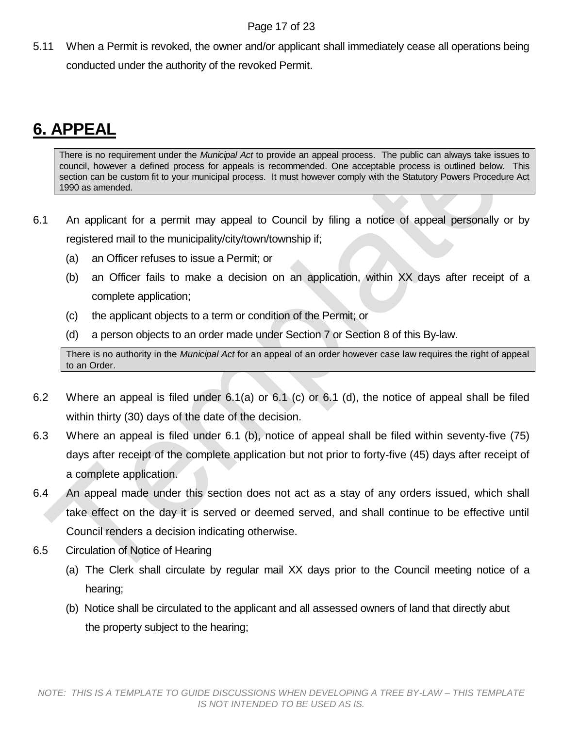5.11 When a Permit is revoked, the owner and/or applicant shall immediately cease all operations being conducted under the authority of the revoked Permit.

# <span id="page-16-0"></span>**6. APPEAL**

There is no requirement under the *Municipal Act* to provide an appeal process. The public can always take issues to council, however a defined process for appeals is recommended. One acceptable process is outlined below. This section can be custom fit to your municipal process. It must however comply with the Statutory Powers Procedure Act 1990 as amended.

- 6.1 An applicant for a permit may appeal to Council by filing a notice of appeal personally or by registered mail to the municipality/city/town/township if;
	- (a) an Officer refuses to issue a Permit; or
	- (b) an Officer fails to make a decision on an application, within XX days after receipt of a complete application;
	- (c) the applicant objects to a term or condition of the Permit; or
	- (d) a person objects to an order made under Section 7 or Section 8 of this By-law.

There is no authority in the *Municipal Act* for an appeal of an order however case law requires the right of appeal to an Order.

- 6.2 Where an appeal is filed under 6.1(a) or 6.1 (c) or 6.1 (d), the notice of appeal shall be filed within thirty (30) days of the date of the decision.
- 6.3 Where an appeal is filed under 6.1 (b), notice of appeal shall be filed within seventy-five (75) days after receipt of the complete application but not prior to forty-five (45) days after receipt of a complete application.
- 6.4 An appeal made under this section does not act as a stay of any orders issued, which shall take effect on the day it is served or deemed served, and shall continue to be effective until Council renders a decision indicating otherwise.
- 6.5 Circulation of Notice of Hearing
	- (a) The Clerk shall circulate by regular mail XX days prior to the Council meeting notice of a hearing;
	- (b) Notice shall be circulated to the applicant and all assessed owners of land that directly abut the property subject to the hearing;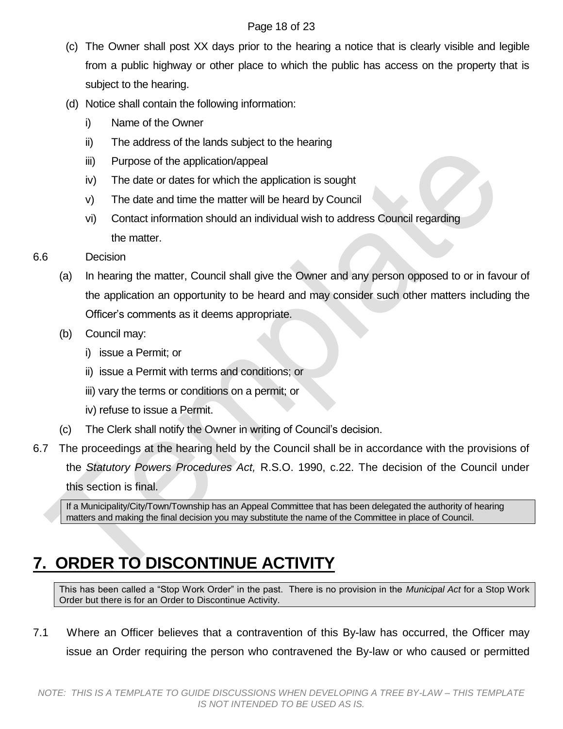### Page 18 of 23

- (c) The Owner shall post XX days prior to the hearing a notice that is clearly visible and legible from a public highway or other place to which the public has access on the property that is subject to the hearing.
- (d) Notice shall contain the following information:
	- i) Name of the Owner
	- ii) The address of the lands subject to the hearing
	- iii) Purpose of the application/appeal
	- iv) The date or dates for which the application is sought
	- v) The date and time the matter will be heard by Council
	- vi) Contact information should an individual wish to address Council regarding the matter.
- 6.6 Decision
	- (a) In hearing the matter, Council shall give the Owner and any person opposed to or in favour of the application an opportunity to be heard and may consider such other matters including the Officer's comments as it deems appropriate.
	- (b) Council may:
		- i) issue a Permit; or
		- ii) issue a Permit with terms and conditions; or
		- iii) vary the terms or conditions on a permit; or
		- iv) refuse to issue a Permit.
	- (c) The Clerk shall notify the Owner in writing of Council's decision.
- 6.7 The proceedings at the hearing held by the Council shall be in accordance with the provisions of the *Statutory Powers Procedures Act,* R.S.O. 1990, c.22. The decision of the Council under this section is final.

If a Municipality/City/Town/Township has an Appeal Committee that has been delegated the authority of hearing matters and making the final decision you may substitute the name of the Committee in place of Council.

# <span id="page-17-0"></span>**[7. ORDER TO DISCONTINUE ACTIVITY](#page-17-0)**

This has been called a "Stop Work Order" in the past. There is no provision in the *Municipal Act* for a Stop Work Order but there is for an Order to Discontinue Activity.

7.1 Where an Officer believes that a contravention of this By-law has occurred, the Officer may issue an Order requiring the person who contravened the By-law or who caused or permitted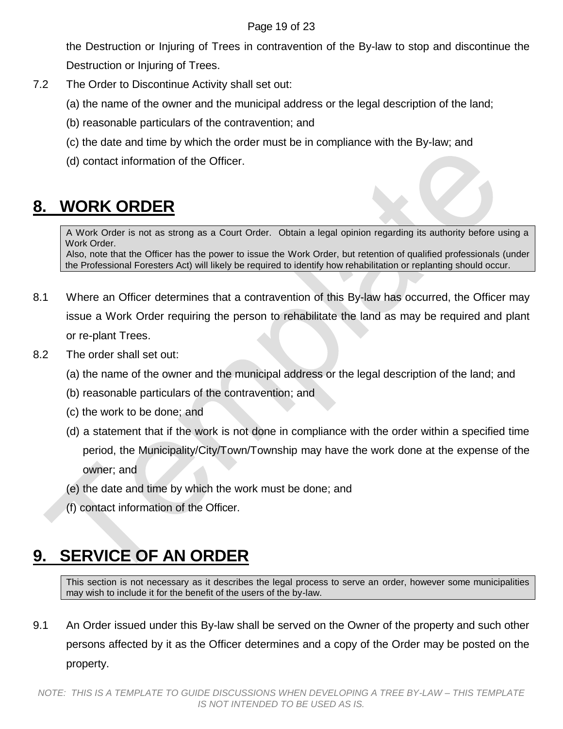### Page 19 of 23

the Destruction or Injuring of Trees in contravention of the By-law to stop and discontinue the Destruction or Injuring of Trees.

- 7.2 The Order to Discontinue Activity shall set out:
	- (a) the name of the owner and the municipal address or the legal description of the land;
	- (b) reasonable particulars of the contravention; and
	- (c) the date and time by which the order must be in compliance with the By-law; and
	- (d) contact information of the Officer.

# <span id="page-18-0"></span>**8. WORK ORDER**

A Work Order is not as strong as a Court Order. Obtain a legal opinion regarding its authority before using a Work Order.

Also, note that the Officer has the power to issue the Work Order, but retention of qualified professionals (under the Professional Foresters Act) will likely be required to identify how rehabilitation or replanting should occur.

- 8.1 Where an Officer determines that a contravention of this By-law has occurred, the Officer may issue a Work Order requiring the person to rehabilitate the land as may be required and plant or re-plant Trees.
- 8.2 The order shall set out:
	- (a) the name of the owner and the municipal address or the legal description of the land; and
	- (b) reasonable particulars of the contravention; and
	- (c) the work to be done; and
	- (d) a statement that if the work is not done in compliance with the order within a specified time period, the Municipality/City/Town/Township may have the work done at the expense of the owner; and
	- (e) the date and time by which the work must be done; and
	- (f) contact information of the Officer.

# <span id="page-18-1"></span>**9. SERVICE OF AN ORDER**

This section is not necessary as it describes the legal process to serve an order, however some municipalities may wish to include it for the benefit of the users of the by-law.

9.1 An Order issued under this By-law shall be served on the Owner of the property and such other persons affected by it as the Officer determines and a copy of the Order may be posted on the property.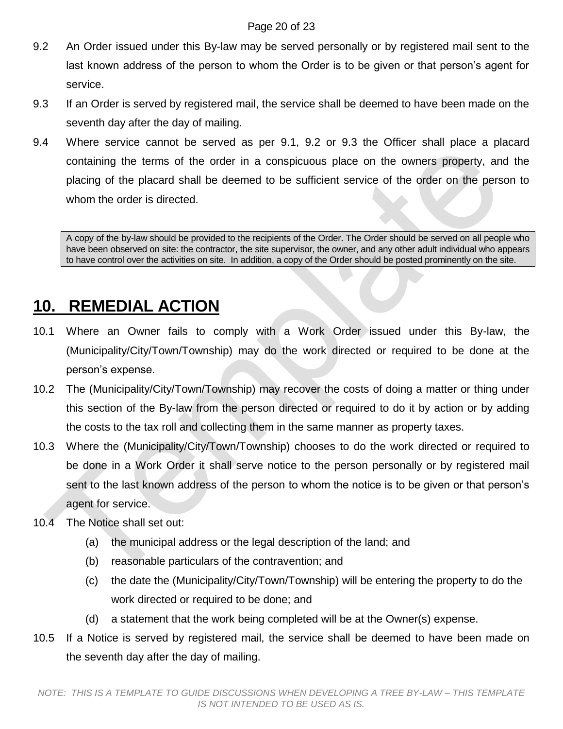### Page 20 of 23

- 9.2 An Order issued under this By-law may be served personally or by registered mail sent to the last known address of the person to whom the Order is to be given or that person's agent for service.
- 9.3 If an Order is served by registered mail, the service shall be deemed to have been made on the seventh day after the day of mailing.
- 9.4 Where service cannot be served as per 9.1, 9.2 or 9.3 the Officer shall place a placard containing the terms of the order in a conspicuous place on the owners property, and the placing of the placard shall be deemed to be sufficient service of the order on the person to whom the order is directed.

A copy of the by-law should be provided to the recipients of the Order. The Order should be served on all people who have been observed on site: the contractor, the site supervisor, the owner, and any other adult individual who appears to have control over the activities on site. In addition, a copy of the Order should be posted prominently on the site.

# <span id="page-19-0"></span>**10. REMEDIAL ACTION**

- 10.1 Where an Owner fails to comply with a Work Order issued under this By-law, the (Municipality/City/Town/Township) may do the work directed or required to be done at the person's expense.
- 10.2 The (Municipality/City/Town/Township) may recover the costs of doing a matter or thing under this section of the By-law from the person directed or required to do it by action or by adding the costs to the tax roll and collecting them in the same manner as property taxes.
- 10.3 Where the (Municipality/City/Town/Township) chooses to do the work directed or required to be done in a Work Order it shall serve notice to the person personally or by registered mail sent to the last known address of the person to whom the notice is to be given or that person's agent for service.
- 10.4 The Notice shall set out:
	- (a) the municipal address or the legal description of the land; and
	- (b) reasonable particulars of the contravention; and
	- (c) the date the (Municipality/City/Town/Township) will be entering the property to do the work directed or required to be done; and
	- (d) a statement that the work being completed will be at the Owner(s) expense.
- 10.5 If a Notice is served by registered mail, the service shall be deemed to have been made on the seventh day after the day of mailing.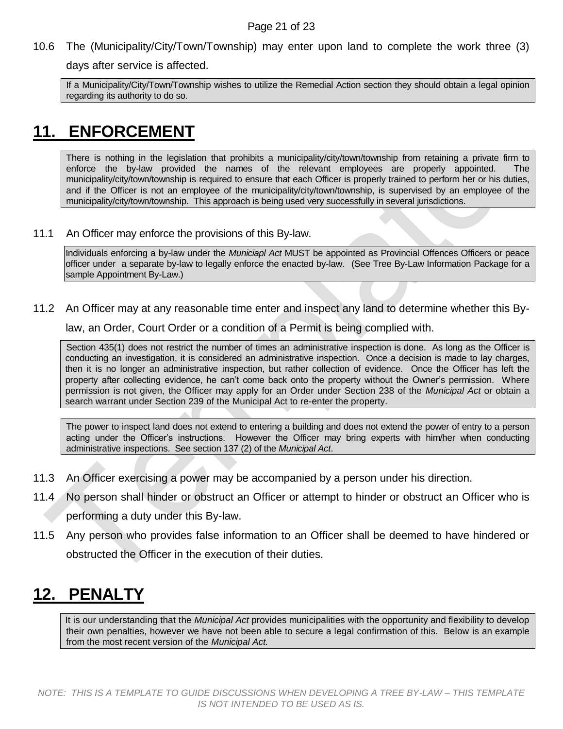10.6 The (Municipality/City/Town/Township) may enter upon land to complete the work three (3)

days after service is affected.

If a Municipality/City/Town/Township wishes to utilize the Remedial Action section they should obtain a legal opinion regarding its authority to do so.

# <span id="page-20-0"></span>**11. ENFORCEMENT**

There is nothing in the legislation that prohibits a municipality/city/town/township from retaining a private firm to enforce the by-law provided the names of the relevant employees are properly appointed. The municipality/city/town/township is required to ensure that each Officer is properly trained to perform her or his duties, and if the Officer is not an employee of the municipality/city/town/township, is supervised by an employee of the municipality/city/town/township. This approach is being used very successfully in several jurisdictions.

11.1 An Officer may enforce the provisions of this By-law.

Individuals enforcing a by-law under the *Municiapl Act* MUST be appointed as Provincial Offences Officers or peace officer under a separate by-law to legally enforce the enacted by-law. (See Tree By-Law Information Package for a sample Appointment By-Law.)

11.2 An Officer may at any reasonable time enter and inspect any land to determine whether this By-

law, an Order, Court Order or a condition of a Permit is being complied with.

Section 435(1) does not restrict the number of times an administrative inspection is done. As long as the Officer is conducting an investigation, it is considered an administrative inspection. Once a decision is made to lay charges, then it is no longer an administrative inspection, but rather collection of evidence. Once the Officer has left the property after collecting evidence, he can't come back onto the property without the Owner's permission. Where permission is not given, the Officer may apply for an Order under Section 238 of the *Municipal Act* or obtain a search warrant under Section 239 of the Municipal Act to re-enter the property.

The power to inspect land does not extend to entering a building and does not extend the power of entry to a person acting under the Officer's instructions. However the Officer may bring experts with him/her when conducting administrative inspections. See section 137 (2) of the *Municipal Act*.

- 11.3 An Officer exercising a power may be accompanied by a person under his direction.
- 11.4 No person shall hinder or obstruct an Officer or attempt to hinder or obstruct an Officer who is performing a duty under this By-law.
- 11.5 Any person who provides false information to an Officer shall be deemed to have hindered or obstructed the Officer in the execution of their duties.

# <span id="page-20-1"></span>**12. PENALTY**

It is our understanding that the *Municipal Act* provides municipalities with the opportunity and flexibility to develop their own penalties, however we have not been able to secure a legal confirmation of this. Below is an example from the most recent version of the *Municipal Act.*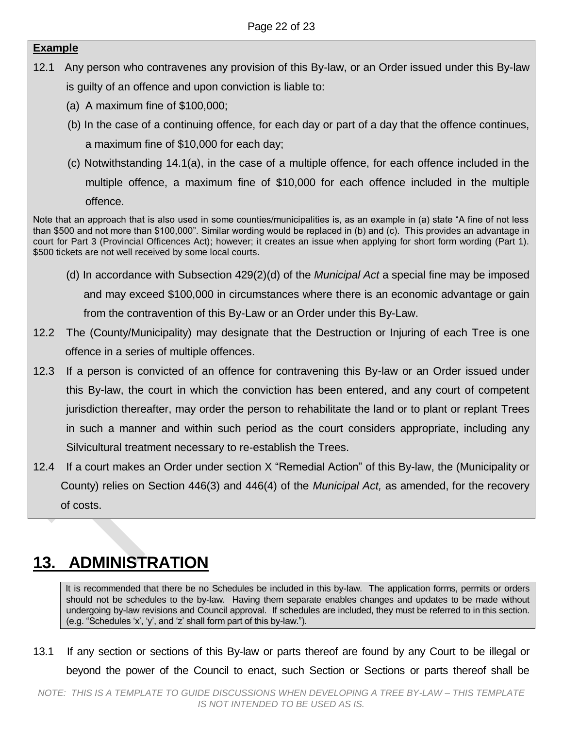# **Example**

- 12.1 Any person who contravenes any provision of this By-law, or an Order issued under this By-law is guilty of an offence and upon conviction is liable to:
	- (a) A maximum fine of \$100,000;
	- (b) In the case of a continuing offence, for each day or part of a day that the offence continues, a maximum fine of \$10,000 for each day;
	- (c) Notwithstanding 14.1(a), in the case of a multiple offence, for each offence included in the multiple offence, a maximum fine of \$10,000 for each offence included in the multiple offence.

Note that an approach that is also used in some counties/municipalities is, as an example in (a) state "A fine of not less than \$500 and not more than \$100,000". Similar wording would be replaced in (b) and (c). This provides an advantage in court for Part 3 (Provincial Officences Act); however; it creates an issue when applying for short form wording (Part 1). \$500 tickets are not well received by some local courts.

- (d) In accordance with Subsection 429(2)(d) of the *Municipal Act* a special fine may be imposed and may exceed \$100,000 in circumstances where there is an economic advantage or gain from the contravention of this By-Law or an Order under this By-Law.
- 12.2 The (County/Municipality) may designate that the Destruction or Injuring of each Tree is one offence in a series of multiple offences.
- 12.3 If a person is convicted of an offence for contravening this By-law or an Order issued under this By-law, the court in which the conviction has been entered, and any court of competent jurisdiction thereafter, may order the person to rehabilitate the land or to plant or replant Trees in such a manner and within such period as the court considers appropriate, including any Silvicultural treatment necessary to re-establish the Trees.
- 12.4 If a court makes an Order under section X "Remedial Action" of this By-law, the (Municipality or County) relies on Section 446(3) and 446(4) of the *Municipal Act,* as amended, for the recovery of costs.

# <span id="page-21-0"></span>**13. ADMINISTRATION**

It is recommended that there be no Schedules be included in this by-law. The application forms, permits or orders should not be schedules to the by-law. Having them separate enables changes and updates to be made without undergoing by-law revisions and Council approval. If schedules are included, they must be referred to in this section. (e.g. "Schedules 'x', 'y', and 'z' shall form part of this by-law.").

13.1 If any section or sections of this By-law or parts thereof are found by any Court to be illegal or beyond the power of the Council to enact, such Section or Sections or parts thereof shall be